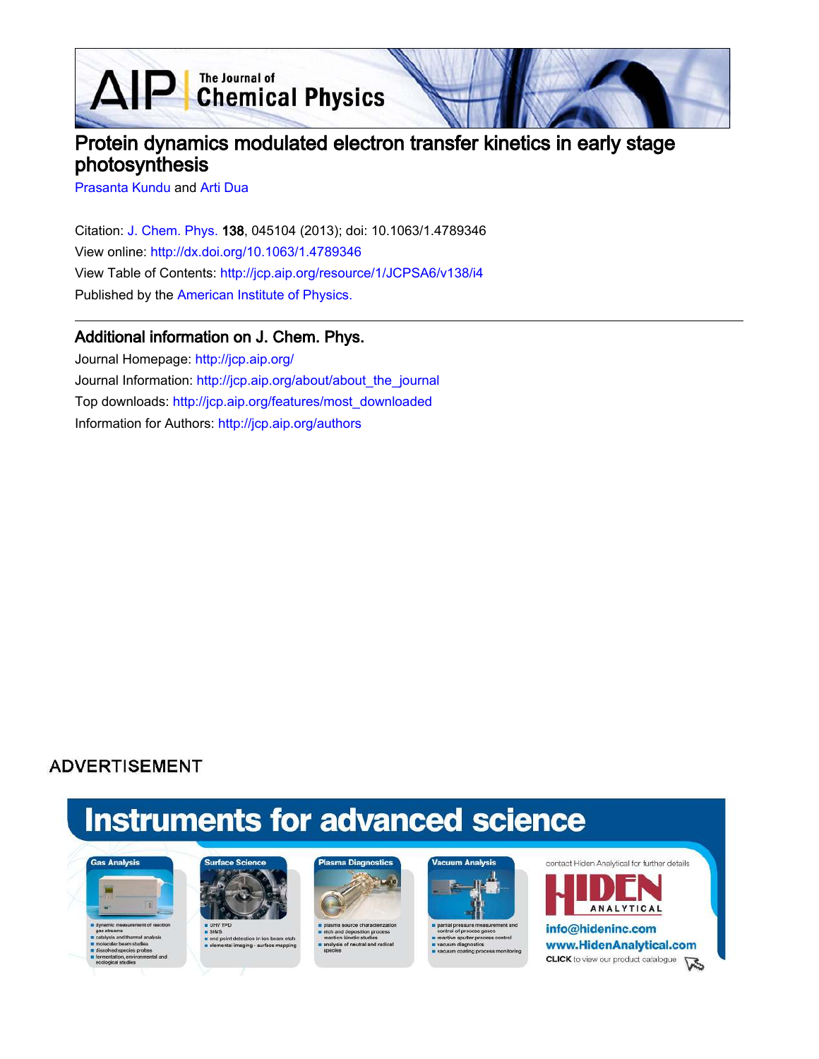AIP Chemical Physics

# Protein dynamics modulated electron transfer kinetics in early stage photosynthesis

Prasanta Kundu and Arti Dua

Citation: J. Chem. Phys. 138, 045104 (2013); doi: 10.1063/1.4789346 View online: http://dx.doi.org/10.1063/1.4789346 View Table of Contents: http://jcp.aip.org/resource/1/JCPSA6/v138/i4 Published by the American Institute of Physics.

# Additional information on J. Chem. Phys.

Journal Homepage: http://jcp.aip.org/ Journal Information: http://jcp.aip.org/about/about\_the\_journal Top downloads: http://jcp.aip.org/features/most\_downloaded Information for Authors: http://jcp.aip.org/authors

# **ADVERTISEMENT**

# **Instruments for advanced science**





i end point detection in ion bea<br>a elemental imaging - surface m





e sputter pri cess control



info@hideninc.com www.HidenAnalytical.com **CLICK** to view our product catalogue

**ANALYTICAL**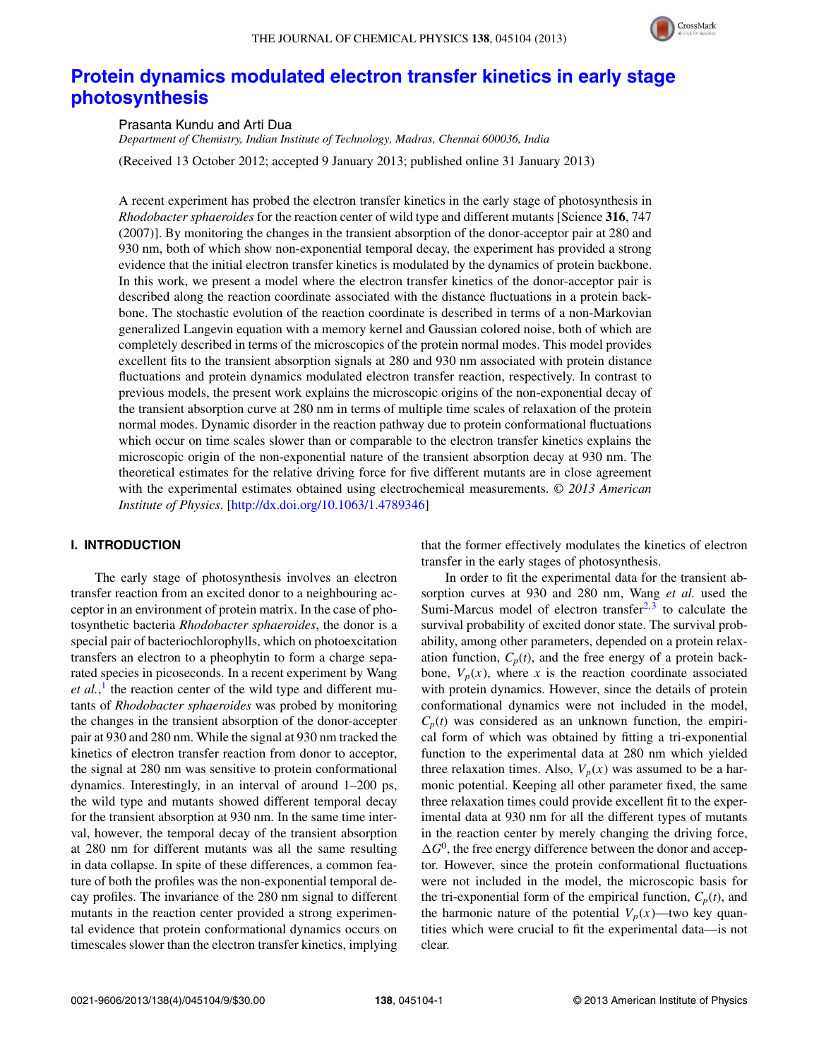

# **Protein dynamics modulated electron transfer kinetics in early stage photosynthesis**

Prasanta Kundu and Arti Dua

*Department of Chemistry, Indian Institute of Technology, Madras, Chennai 600036, India*

(Received 13 October 2012; accepted 9 January 2013; published online 31 January 2013)

A recent experiment has probed the electron transfer kinetics in the early stage of photosynthesis in *Rhodobacter sphaeroides* for the reaction center of wild type and different mutants [Science **316**, 747 (2007)]. By monitoring the changes in the transient absorption of the donor-acceptor pair at 280 and 930 nm, both of which show non-exponential temporal decay, the experiment has provided a strong evidence that the initial electron transfer kinetics is modulated by the dynamics of protein backbone. In this work, we present a model where the electron transfer kinetics of the donor-acceptor pair is described along the reaction coordinate associated with the distance fluctuations in a protein backbone. The stochastic evolution of the reaction coordinate is described in terms of a non-Markovian generalized Langevin equation with a memory kernel and Gaussian colored noise, both of which are completely described in terms of the microscopics of the protein normal modes. This model provides excellent fits to the transient absorption signals at 280 and 930 nm associated with protein distance fluctuations and protein dynamics modulated electron transfer reaction, respectively. In contrast to previous models, the present work explains the microscopic origins of the non-exponential decay of the transient absorption curve at 280 nm in terms of multiple time scales of relaxation of the protein normal modes. Dynamic disorder in the reaction pathway due to protein conformational fluctuations which occur on time scales slower than or comparable to the electron transfer kinetics explains the microscopic origin of the non-exponential nature of the transient absorption decay at 930 nm. The theoretical estimates for the relative driving force for five different mutants are in close agreement with the experimental estimates obtained using electrochemical measurements. *© 2013 American Institute of Physics*. [http://dx.doi.org/10.1063/1.4789346]

# **I. INTRODUCTION**

The early stage of photosynthesis involves an electron transfer reaction from an excited donor to a neighbouring acceptor in an environment of protein matrix. In the case of photosynthetic bacteria *Rhodobacter sphaeroides*, the donor is a special pair of bacteriochlorophylls, which on photoexcitation transfers an electron to a pheophytin to form a charge separated species in picoseconds. In a recent experiment by Wang et al.,<sup>1</sup> the reaction center of the wild type and different mutants of *Rhodobacter sphaeroides* was probed by monitoring the changes in the transient absorption of the donor-accepter pair at 930 and 280 nm. While the signal at 930 nm tracked the kinetics of electron transfer reaction from donor to acceptor, the signal at 280 nm was sensitive to protein conformational dynamics. Interestingly, in an interval of around 1–200 ps, the wild type and mutants showed different temporal decay for the transient absorption at 930 nm. In the same time interval, however, the temporal decay of the transient absorption at 280 nm for different mutants was all the same resulting in data collapse. In spite of these differences, a common feature of both the profiles was the non-exponential temporal decay profiles. The invariance of the 280 nm signal to different mutants in the reaction center provided a strong experimental evidence that protein conformational dynamics occurs on timescales slower than the electron transfer kinetics, implying that the former effectively modulates the kinetics of electron transfer in the early stages of photosynthesis.

In order to fit the experimental data for the transient absorption curves at 930 and 280 nm, Wang *et al.* used the Sumi-Marcus model of electron transfer $2,3$  to calculate the survival probability of excited donor state. The survival probability, among other parameters, depended on a protein relaxation function,  $C_p(t)$ , and the free energy of a protein backbone,  $V_p(x)$ , where x is the reaction coordinate associated with protein dynamics. However, since the details of protein conformational dynamics were not included in the model,  $C_p(t)$  was considered as an unknown function, the empirical form of which was obtained by fitting a tri-exponential function to the experimental data at 280 nm which yielded three relaxation times. Also,  $V_p(x)$  was assumed to be a harmonic potential. Keeping all other parameter fixed, the same three relaxation times could provide excellent fit to the experimental data at 930 nm for all the different types of mutants in the reaction center by merely changing the driving force,  $\Delta G^0$ , the free energy difference between the donor and acceptor. However, since the protein conformational fluctuations were not included in the model, the microscopic basis for the tri-exponential form of the empirical function,  $C_p(t)$ , and the harmonic nature of the potential  $V_p(x)$ —two key quantities which were crucial to fit the experimental data—is not clear.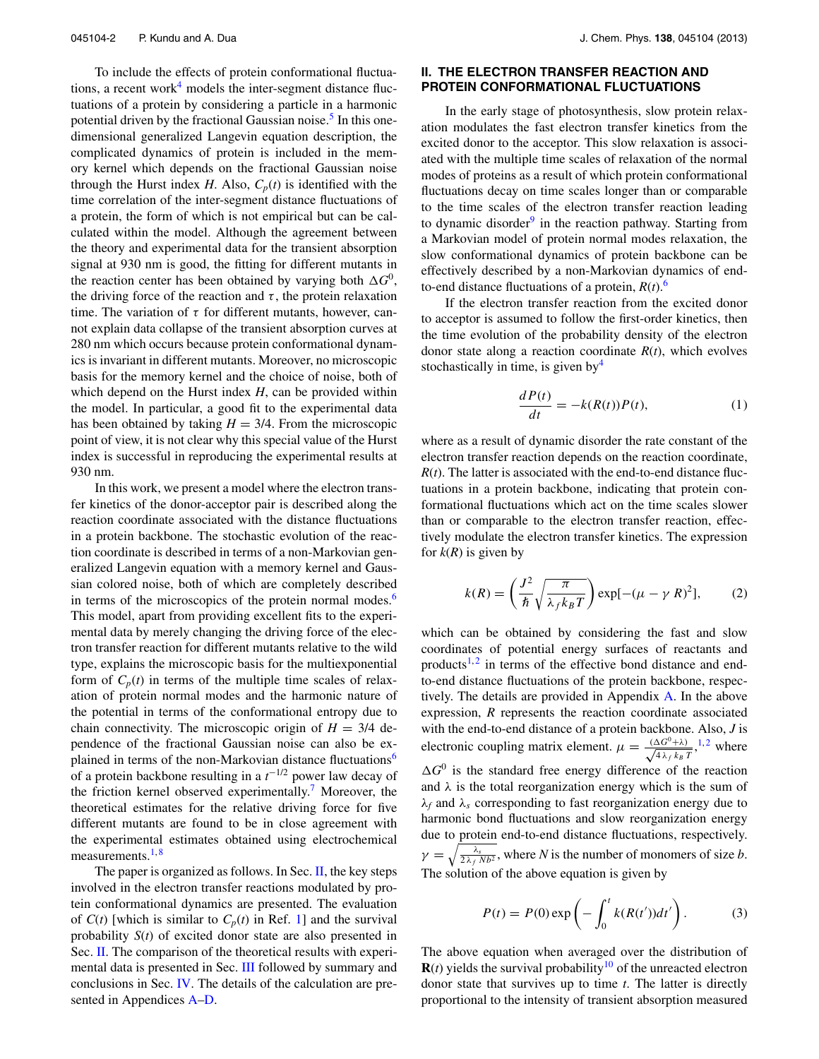To include the effects of protein conformational fluctuations, a recent work<sup>4</sup> models the inter-segment distance fluctuations of a protein by considering a particle in a harmonic potential driven by the fractional Gaussian noise.<sup>5</sup> In this onedimensional generalized Langevin equation description, the complicated dynamics of protein is included in the memory kernel which depends on the fractional Gaussian noise through the Hurst index *H*. Also,  $C_p(t)$  is identified with the time correlation of the inter-segment distance fluctuations of a protein, the form of which is not empirical but can be calculated within the model. Although the agreement between the theory and experimental data for the transient absorption signal at 930 nm is good, the fitting for different mutants in the reaction center has been obtained by varying both  $\Delta G^0$ , the driving force of the reaction and  $\tau$ , the protein relaxation time. The variation of  $\tau$  for different mutants, however, cannot explain data collapse of the transient absorption curves at 280 nm which occurs because protein conformational dynamics is invariant in different mutants. Moreover, no microscopic basis for the memory kernel and the choice of noise, both of which depend on the Hurst index *H*, can be provided within the model. In particular, a good fit to the experimental data has been obtained by taking  $H = 3/4$ . From the microscopic point of view, it is not clear why this special value of the Hurst index is successful in reproducing the experimental results at 930 nm.

In this work, we present a model where the electron transfer kinetics of the donor-acceptor pair is described along the reaction coordinate associated with the distance fluctuations in a protein backbone. The stochastic evolution of the reaction coordinate is described in terms of a non-Markovian generalized Langevin equation with a memory kernel and Gaussian colored noise, both of which are completely described in terms of the microscopics of the protein normal modes. $6$ This model, apart from providing excellent fits to the experimental data by merely changing the driving force of the electron transfer reaction for different mutants relative to the wild type, explains the microscopic basis for the multiexponential form of  $C_p(t)$  in terms of the multiple time scales of relaxation of protein normal modes and the harmonic nature of the potential in terms of the conformational entropy due to chain connectivity. The microscopic origin of  $H = 3/4$  dependence of the fractional Gaussian noise can also be explained in terms of the non-Markovian distance fluctuations<sup>6</sup> of a protein backbone resulting in a  $t^{-1/2}$  power law decay of the friction kernel observed experimentally.<sup>7</sup> Moreover, the theoretical estimates for the relative driving force for five different mutants are found to be in close agreement with the experimental estimates obtained using electrochemical measurements.<sup>1,8</sup>

The paper is organized as follows. In Sec. II, the key steps involved in the electron transfer reactions modulated by protein conformational dynamics are presented. The evaluation of  $C(t)$  [which is similar to  $C_p(t)$  in Ref. 1] and the survival probability *S*(*t*) of excited donor state are also presented in Sec. II. The comparison of the theoretical results with experimental data is presented in Sec. III followed by summary and conclusions in Sec. IV. The details of the calculation are presented in Appendices A–D.

## **II. THE ELECTRON TRANSFER REACTION AND PROTEIN CONFORMATIONAL FLUCTUATIONS**

In the early stage of photosynthesis, slow protein relaxation modulates the fast electron transfer kinetics from the excited donor to the acceptor. This slow relaxation is associated with the multiple time scales of relaxation of the normal modes of proteins as a result of which protein conformational fluctuations decay on time scales longer than or comparable to the time scales of the electron transfer reaction leading to dynamic disorder<sup>9</sup> in the reaction pathway. Starting from a Markovian model of protein normal modes relaxation, the slow conformational dynamics of protein backbone can be effectively described by a non-Markovian dynamics of endto-end distance fluctuations of a protein,  $R(t)$ .<sup>6</sup>

If the electron transfer reaction from the excited donor to acceptor is assumed to follow the first-order kinetics, then the time evolution of the probability density of the electron donor state along a reaction coordinate *R*(*t*), which evolves stochastically in time, is given by  $4$ 

$$
\frac{dP(t)}{dt} = -k(R(t))P(t),\tag{1}
$$

where as a result of dynamic disorder the rate constant of the electron transfer reaction depends on the reaction coordinate,  $R(t)$ . The latter is associated with the end-to-end distance fluctuations in a protein backbone, indicating that protein conformational fluctuations which act on the time scales slower than or comparable to the electron transfer reaction, effectively modulate the electron transfer kinetics. The expression for  $k(R)$  is given by

$$
k(R) = \left(\frac{J^2}{\hbar} \sqrt{\frac{\pi}{\lambda_f k_B T}}\right) \exp[-(\mu - \gamma R)^2],\tag{2}
$$

which can be obtained by considering the fast and slow coordinates of potential energy surfaces of reactants and products<sup>1,2</sup> in terms of the effective bond distance and endto-end distance fluctuations of the protein backbone, respectively. The details are provided in Appendix A. In the above expression, *R* represents the reaction coordinate associated with the end-to-end distance of a protein backbone. Also, *J* is electronic coupling matrix element.  $\mu = \frac{(\Delta G^0 + \lambda)}{\sqrt{4 \lambda \epsilon k_B}}$  $\frac{\Delta G^0 + \lambda)}{4 \lambda_f k_B T}$ ,<sup>1,2</sup> where  $\Delta G^0$  is the standard free energy difference of the reaction and  $\lambda$  is the total reorganization energy which is the sum of  $\lambda_f$  and  $\lambda_s$  corresponding to fast reorganization energy due to harmonic bond fluctuations and slow reorganization energy due to protein end-to-end distance fluctuations, respectively.  $\gamma = \sqrt{\frac{\lambda_s}{2\lambda_f N b^2}}$ , where *N* is the number of monomers of size *b*. The solution of the above equation is given by

$$
P(t) = P(0) \exp\left(-\int_0^t k(R(t'))dt'\right).
$$
 (3)

The above equation when averaged over the distribution of  **yields the survival probability<sup>10</sup> of the unreacted electron** donor state that survives up to time *t*. The latter is directly proportional to the intensity of transient absorption measured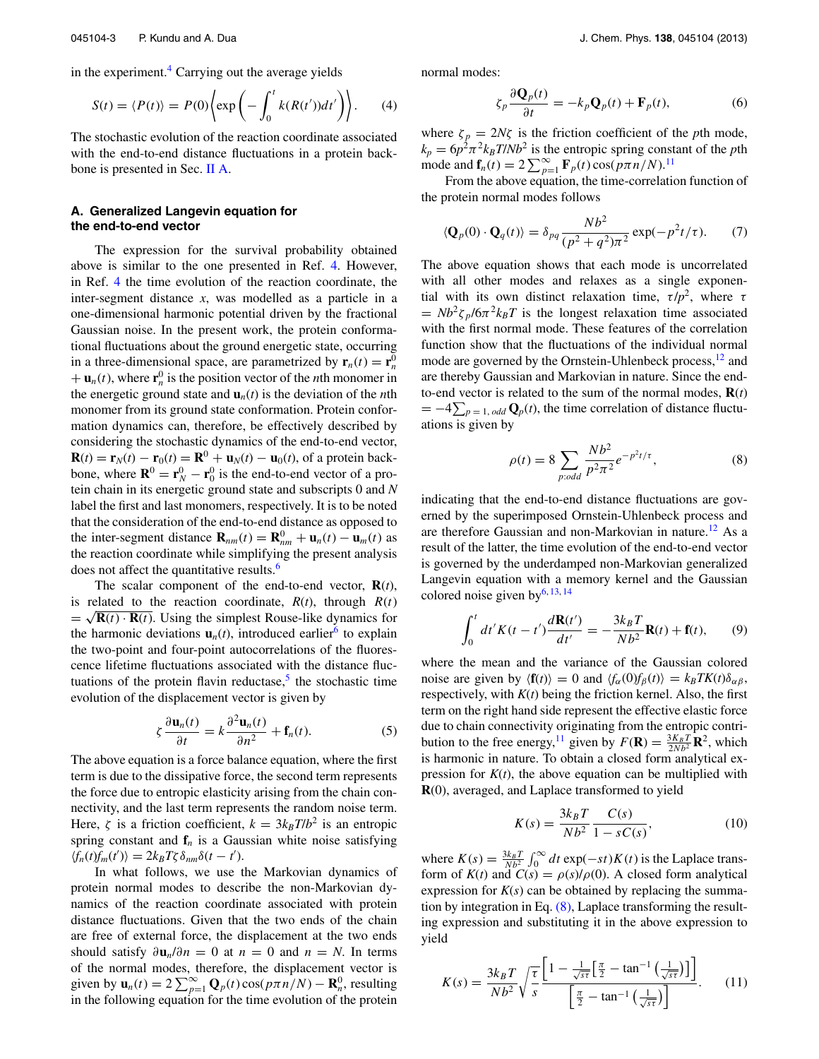in the experiment.<sup>4</sup> Carrying out the average yields

$$
S(t) = \langle P(t) \rangle = P(0) \left\{ \exp \left( - \int_0^t k(R(t'))dt' \right) \right\}.
$$
 (4)

The stochastic evolution of the reaction coordinate associated with the end-to-end distance fluctuations in a protein backbone is presented in Sec. II A.

## **A. Generalized Langevin equation for the end-to-end vector**

The expression for the survival probability obtained above is similar to the one presented in Ref. 4. However, in Ref. 4 the time evolution of the reaction coordinate, the inter-segment distance *x*, was modelled as a particle in a one-dimensional harmonic potential driven by the fractional Gaussian noise. In the present work, the protein conformational fluctuations about the ground energetic state, occurring in a three-dimensional space, are parametrized by  $\mathbf{r}_n(t) = \mathbf{r}_n^0$  $+ \mathbf{u}_n(t)$ , where  $\mathbf{r}_n^0$  is the position vector of the *n*th monomer in the energetic ground state and  $\mathbf{u}_n(t)$  is the deviation of the *n*th monomer from its ground state conformation. Protein conformation dynamics can, therefore, be effectively described by considering the stochastic dynamics of the end-to-end vector, **R**(*t*) = **r**<sub>*N*</sub>(*t*) - **r**<sub>0</sub>(*t*) = **R**<sup>0</sup> + **u**<sub>*N*</sub>(*t*) - **u**<sub>0</sub>(*t*), of a protein backbone, where  $\mathbf{R}^0 = \mathbf{r}_N^0 - \mathbf{r}_0^0$  is the end-to-end vector of a protein chain in its energetic ground state and subscripts 0 and *N* label the first and last monomers, respectively. It is to be noted that the consideration of the end-to-end distance as opposed to the inter-segment distance  $\mathbf{R}_{nm}(t) = \mathbf{R}_{nm}^0 + \mathbf{u}_n(t) - \mathbf{u}_m(t)$  as the reaction coordinate while simplifying the present analysis does not affect the quantitative results.<sup>6</sup>

The scalar component of the end-to-end vector,  $\mathbf{R}(t)$ , is related to the reaction coordinate,  $R(t)$ , through  $R(t)$  $=\sqrt{\mathbf{R}(t)\cdot\mathbf{R}(t)}$ . Using the simplest Rouse-like dynamics for the harmonic deviations  $\mathbf{u}_n(t)$ , introduced earlier<sup>6</sup> to explain the two-point and four-point autocorrelations of the fluorescence lifetime fluctuations associated with the distance fluctuations of the protein flavin reductase, $5$  the stochastic time evolution of the displacement vector is given by

$$
\zeta \frac{\partial \mathbf{u}_n(t)}{\partial t} = k \frac{\partial^2 \mathbf{u}_n(t)}{\partial n^2} + \mathbf{f}_n(t). \tag{5}
$$

The above equation is a force balance equation, where the first term is due to the dissipative force, the second term represents the force due to entropic elasticity arising from the chain connectivity, and the last term represents the random noise term. Here,  $\zeta$  is a friction coefficient,  $k = 3k_B T/b^2$  is an entropic spring constant and  $f<sub>n</sub>$  is a Gaussian white noise satisfying  $\langle f_n(t)f_m(t') \rangle = 2k_B T \zeta \delta_{nm} \delta(t-t').$ 

In what follows, we use the Markovian dynamics of protein normal modes to describe the non-Markovian dynamics of the reaction coordinate associated with protein distance fluctuations. Given that the two ends of the chain are free of external force, the displacement at the two ends should satisfy  $\partial \mathbf{u}_n / \partial n = 0$  at  $n = 0$  and  $n = N$ . In terms of the normal modes, therefore, the displacement vector is given by  $\mathbf{u}_n(t) = 2 \sum_{p=1}^{\infty} \mathbf{Q}_p(t) \cos(p\pi n/N) - \mathbf{R}_n^0$ , resulting in the following equation for the time evolution of the protein normal modes:

$$
\zeta_p \frac{\partial \mathbf{Q}_p(t)}{\partial t} = -k_p \mathbf{Q}_p(t) + \mathbf{F}_p(t),\tag{6}
$$

where  $\zeta_p = 2N\zeta$  is the friction coefficient of the *p*th mode,  $k_p = 6p^2 \pi^2 k_B T/Nb^2$  is the entropic spring constant of the *p*th mode and  $f_n(t) = 2 \sum_{p=1}^{\infty} F_p(t) \cos(p\pi n/N).$ <sup>11</sup>

From the above equation, the time-correlation function of the protein normal modes follows

$$
\langle \mathbf{Q}_p(0) \cdot \mathbf{Q}_q(t) \rangle = \delta_{pq} \frac{N b^2}{(p^2 + q^2)\pi^2} \exp(-p^2 t/\tau). \tag{7}
$$

The above equation shows that each mode is uncorrelated with all other modes and relaxes as a single exponential with its own distinct relaxation time,  $\tau / p^2$ , where  $\tau$  $=Nb^2\zeta_p/6\pi^2k_BT$  is the longest relaxation time associated with the first normal mode. These features of the correlation function show that the fluctuations of the individual normal mode are governed by the Ornstein-Uhlenbeck process,<sup>12</sup> and are thereby Gaussian and Markovian in nature. Since the endto-end vector is related to the sum of the normal modes,  $\mathbf{R}(t)$  $= -4\sum_{p=1, odd} Q_p(t)$ , the time correlation of distance fluctuations is given by

$$
\rho(t) = 8 \sum_{p:odd} \frac{Nb^2}{p^2 \pi^2} e^{-p^2 t/\tau},
$$
\n(8)

indicating that the end-to-end distance fluctuations are governed by the superimposed Ornstein-Uhlenbeck process and are therefore Gaussian and non-Markovian in nature.<sup>12</sup> As a result of the latter, the time evolution of the end-to-end vector is governed by the underdamped non-Markovian generalized Langevin equation with a memory kernel and the Gaussian colored noise given by $^{6, 13, 14}$ 

$$
\int_0^t dt' K(t-t') \frac{d\mathbf{R}(t')}{dt'} = -\frac{3k_B T}{Nb^2} \mathbf{R}(t) + \mathbf{f}(t),\qquad(9)
$$

where the mean and the variance of the Gaussian colored noise are given by  $\langle \mathbf{f}(t) \rangle = 0$  and  $\langle f_\alpha(0) f_\beta(t) \rangle = k_B T K(t) \delta_{\alpha\beta}$ , respectively, with  $K(t)$  being the friction kernel. Also, the first term on the right hand side represent the effective elastic force due to chain connectivity originating from the entropic contribution to the free energy,<sup>11</sup> given by  $F(\mathbf{R}) = \frac{3K_B T}{2Nb^2} \mathbf{R}^2$ , which is harmonic in nature. To obtain a closed form analytical expression for  $K(t)$ , the above equation can be multiplied with **R**(0), averaged, and Laplace transformed to yield

$$
K(s) = \frac{3k_B T}{Nb^2} \frac{C(s)}{1 - sC(s)},
$$
\n(10)

where  $K(s) = \frac{3k_B T}{Nb^2} \int_0^\infty dt \exp(-st) K(t)$  is the Laplace transform of  $K(t)$  and  $C(s) = \rho(s)/\rho(0)$ . A closed form analytical expression for  $K(s)$  can be obtained by replacing the summation by integration in Eq. (8), Laplace transforming the resulting expression and substituting it in the above expression to yield

$$
K(s) = \frac{3k_B T}{Nb^2} \sqrt{\frac{\tau}{s}} \frac{\left[1 - \frac{1}{\sqrt{s\tau}} \left[\frac{\pi}{2} - \tan^{-1}\left(\frac{1}{\sqrt{s\tau}}\right)\right]\right]}{\left[\frac{\pi}{2} - \tan^{-1}\left(\frac{1}{\sqrt{s\tau}}\right)\right]}.
$$
(11)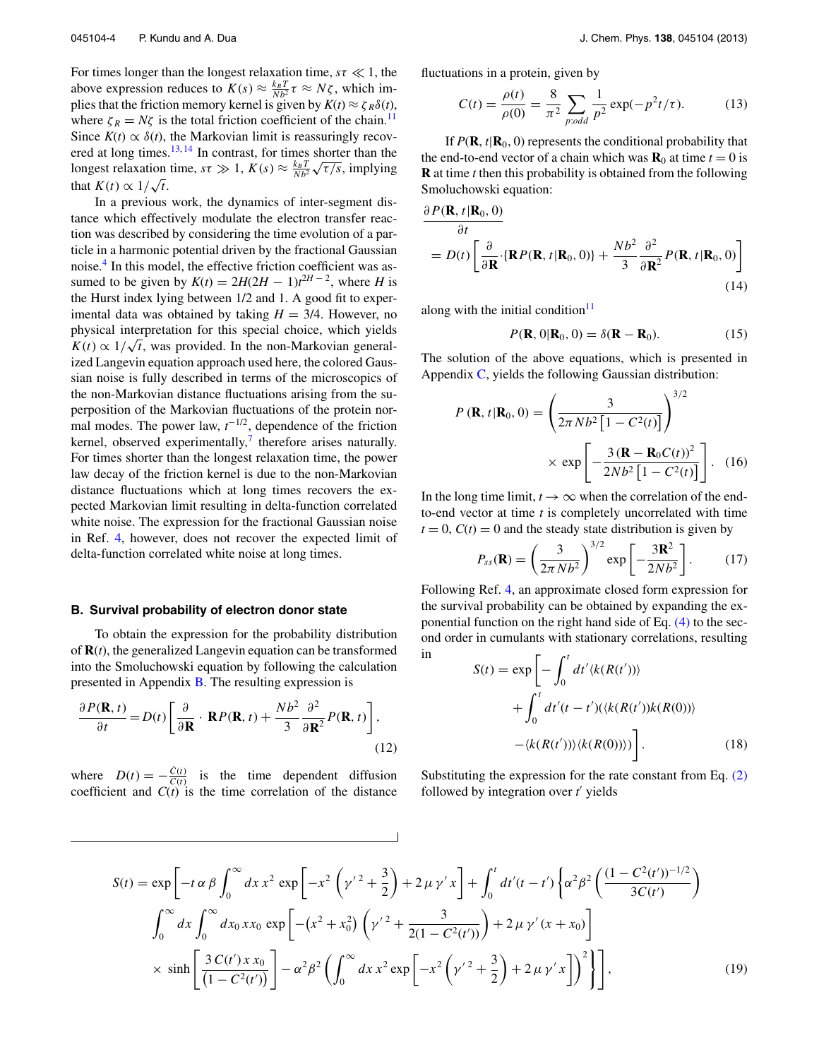For times longer than the longest relaxation time,  $s\tau \ll 1$ , the above expression reduces to  $K(s) \approx \frac{k_B T}{Nb^2} \tau \approx N\zeta$ , which implies that the friction memory kernel is given by  $K(t) \approx \zeta_R \delta(t)$ , where  $\zeta_R = N\zeta$  is the total friction coefficient of the chain.<sup>11</sup> Since  $K(t) \propto \delta(t)$ , the Markovian limit is reassuringly recovered at long times.<sup>13, 14</sup> In contrast, for times shorter than the longest relaxation time,  $s\tau \gg 1$ ,  $K(s) \approx \frac{k_B T}{Nb^2} \sqrt{\tau/s}$ , implying that  $K(t) \propto 1/\sqrt{t}$ .

In a previous work, the dynamics of inter-segment distance which effectively modulate the electron transfer reaction was described by considering the time evolution of a particle in a harmonic potential driven by the fractional Gaussian noise.<sup>4</sup> In this model, the effective friction coefficient was assumed to be given by  $K(t) = 2H(2H - 1)t^{2H - 2}$ , where *H* is the Hurst index lying between 1/2 and 1. A good fit to experimental data was obtained by taking  $H = 3/4$ . However, no physical interpretation for this special choice, which yields  $K(t) \propto 1/\sqrt{t}$ , was provided. In the non-Markovian generalized Langevin equation approach used here, the colored Gaussian noise is fully described in terms of the microscopics of the non-Markovian distance fluctuations arising from the superposition of the Markovian fluctuations of the protein normal modes. The power law,  $t^{-1/2}$ , dependence of the friction kernel, observed experimentally, $\frac{7}{7}$  therefore arises naturally. For times shorter than the longest relaxation time, the power law decay of the friction kernel is due to the non-Markovian distance fluctuations which at long times recovers the expected Markovian limit resulting in delta-function correlated white noise. The expression for the fractional Gaussian noise in Ref. 4, however, does not recover the expected limit of delta-function correlated white noise at long times.

#### **B. Survival probability of electron donor state**

To obtain the expression for the probability distribution of **R**(*t*), the generalized Langevin equation can be transformed into the Smoluchowski equation by following the calculation presented in Appendix B. The resulting expression is

$$
\frac{\partial P(\mathbf{R},t)}{\partial t} = D(t) \left[ \frac{\partial}{\partial \mathbf{R}} \cdot \mathbf{R} P(\mathbf{R},t) + \frac{N b^2}{3} \frac{\partial^2}{\partial \mathbf{R}^2} P(\mathbf{R},t) \right],
$$
\n(12)

where  $D(t) = -\frac{\dot{C}(t)}{C(t)}$  is the time dependent diffusion coefficient and  $C(t)$  is the time correlation of the distance fluctuations in a protein, given by

$$
C(t) = \frac{\rho(t)}{\rho(0)} = \frac{8}{\pi^2} \sum_{p:odd} \frac{1}{p^2} \exp(-p^2 t/\tau).
$$
 (13)

If  $P(\mathbf{R}, t | \mathbf{R}_0, 0)$  represents the conditional probability that the end-to-end vector of a chain which was  $\mathbf{R}_0$  at time  $t = 0$  is **R** at time *t* then this probability is obtained from the following Smoluchowski equation:

$$
\frac{\partial P(\mathbf{R}, t | \mathbf{R}_0, 0)}{\partial t} = D(t) \left[ \frac{\partial}{\partial \mathbf{R}} \cdot \{ \mathbf{R} P(\mathbf{R}, t | \mathbf{R}_0, 0) \} + \frac{Nb^2}{3} \frac{\partial^2}{\partial \mathbf{R}^2} P(\mathbf{R}, t | \mathbf{R}_0, 0) \right]
$$
(14)

along with the initial condition $11$ 

$$
P(\mathbf{R},0|\mathbf{R}_0,0) = \delta(\mathbf{R} - \mathbf{R}_0).
$$
 (15)

The solution of the above equations, which is presented in Appendix C, yields the following Gaussian distribution:

$$
P(\mathbf{R}, t | \mathbf{R}_0, 0) = \left(\frac{3}{2\pi N b^2 \left[1 - C^2(t)\right]}\right)^{3/2}
$$

$$
\times \exp\left[-\frac{3\left(\mathbf{R} - \mathbf{R}_0 C(t)\right)^2}{2Nb^2 \left[1 - C^2(t)\right]}\right]. \quad (16)
$$

In the long time limit,  $t \to \infty$  when the correlation of the endto-end vector at time *t* is completely uncorrelated with time  $t = 0$ ,  $C(t) = 0$  and the steady state distribution is given by

$$
P_{ss}(\mathbf{R}) = \left(\frac{3}{2\pi N b^2}\right)^{3/2} \exp\left[-\frac{3\mathbf{R}^2}{2Nb^2}\right].
$$
 (17)

Following Ref. 4, an approximate closed form expression for the survival probability can be obtained by expanding the exponential function on the right hand side of Eq. (4) to the second order in cumulants with stationary correlations, resulting in

$$
S(t) = \exp\left[-\int_0^t dt'\langle k(R(t'))\rangle\right.+ \int_0^t dt'(t - t')(\langle k(R(t'))k(R(0))\rangle - \langle k(R(t'))\rangle \langle k(R(0))\rangle)\right].
$$
 (18)

Substituting the expression for the rate constant from Eq. (2) followed by integration over *t'* yields

$$
S(t) = \exp\left[-t\alpha\beta\int_0^\infty dx \, x^2 \, \exp\left[-x^2\left(\gamma'^2 + \frac{3}{2}\right) + 2\,\mu\,\gamma' \, x\right] + \int_0^t dt'(t - t') \left\{\alpha^2\beta^2 \left(\frac{(1 - C^2(t'))^{-1/2}}{3C(t')}\right) + \int_0^\infty dx \int_0^\infty dx \int_0^\infty dx \, \cos\beta \left[-(x^2 + x_0^2)\left(\gamma'^2 + \frac{3}{2(1 - C^2(t'))}\right) + 2\,\mu\,\gamma'(x + x_0)\right] \right\}
$$
  
 
$$
\times \sinh\left[\frac{3\,C(t')\,x\,x_0}{(1 - C^2(t'))}\right] - \alpha^2\beta^2 \left(\int_0^\infty dx \, x^2 \exp\left[-x^2\left(\gamma'^2 + \frac{3}{2}\right) + 2\,\mu\,\gamma' \, x\right]\right)^2\right],
$$
 (19)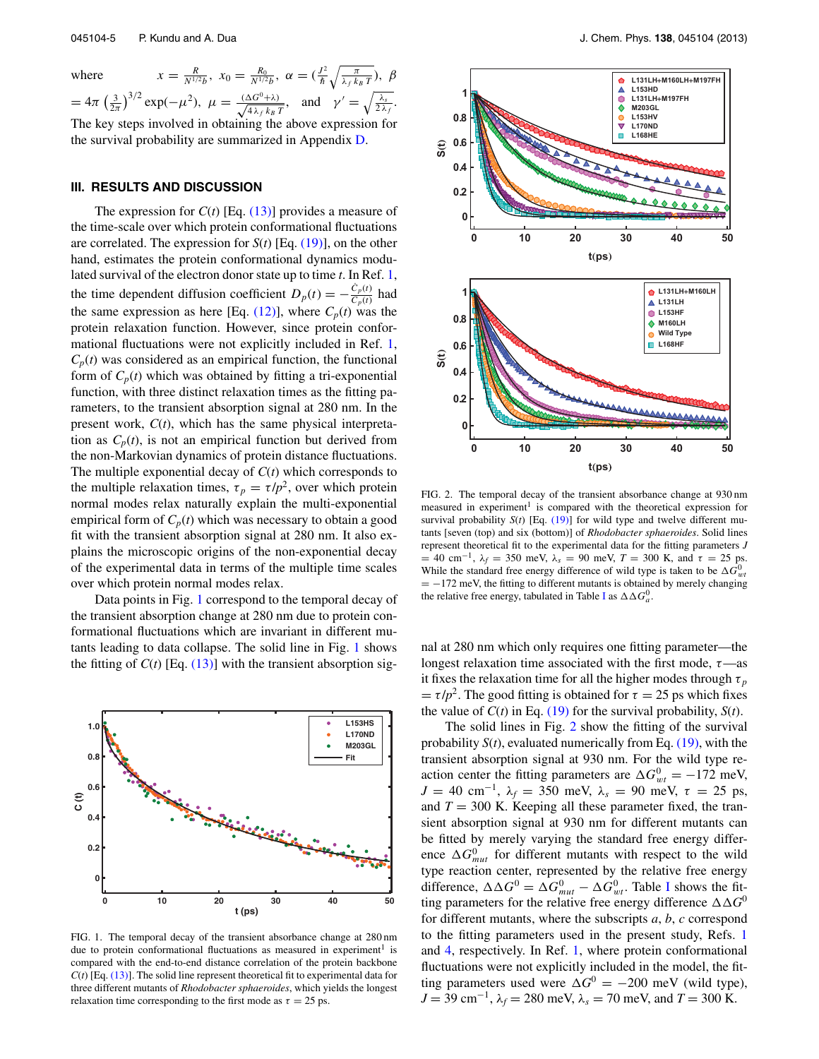where

 $\frac{R}{N^{1/2}b}$ ,  $x_0 = \frac{R_0}{N^{1/2}b}$ ,  $\alpha = (\frac{J^2}{\hbar} \sqrt{\frac{\pi}{\lambda_f k_B T}})$ ,  $\beta$  $= 4\pi \left(\frac{3}{2\pi}\right)^{3/2} \exp(-\mu^2), \ \mu = \frac{(\Delta G^0 + \lambda)}{\sqrt{4\lambda_f k_B}}$  $\frac{\Delta G^0 + \lambda}{4 \lambda_f k_B T}$ , and  $\gamma' = \sqrt{\frac{\lambda_s}{2 \lambda_f}}$ .

The key steps involved in obtaining the above expression for the survival probability are summarized in Appendix D.

#### **III. RESULTS AND DISCUSSION**

The expression for  $C(t)$  [Eq. (13)] provides a measure of the time-scale over which protein conformational fluctuations are correlated. The expression for *S*(*t*) [Eq. (19)], on the other hand, estimates the protein conformational dynamics modulated survival of the electron donor state up to time *t*. In Ref. 1, the time dependent diffusion coefficient  $D_p(t) = -\frac{\dot{C}_p(t)}{C_p(t)}$  $\frac{C_p(t)}{C_p(t)}$  had the same expression as here [Eq. (12)], where  $C_p(t)$  was the protein relaxation function. However, since protein conformational fluctuations were not explicitly included in Ref. 1,  $C_p(t)$  was considered as an empirical function, the functional form of  $C_p(t)$  which was obtained by fitting a tri-exponential function, with three distinct relaxation times as the fitting parameters, to the transient absorption signal at 280 nm. In the present work, *C*(*t*), which has the same physical interpretation as  $C_p(t)$ , is not an empirical function but derived from the non-Markovian dynamics of protein distance fluctuations. The multiple exponential decay of *C*(*t*) which corresponds to the multiple relaxation times,  $\tau_p = \tau / p^2$ , over which protein normal modes relax naturally explain the multi-exponential empirical form of  $C_p(t)$  which was necessary to obtain a good fit with the transient absorption signal at 280 nm. It also explains the microscopic origins of the non-exponential decay of the experimental data in terms of the multiple time scales over which protein normal modes relax.

Data points in Fig. 1 correspond to the temporal decay of the transient absorption change at 280 nm due to protein conformational fluctuations which are invariant in different mutants leading to data collapse. The solid line in Fig. 1 shows the fitting of  $C(t)$  [Eq. (13)] with the transient absorption sig-



FIG. 1. The temporal decay of the transient absorbance change at 280 nm due to protein conformational fluctuations as measured in experiment<sup>1</sup> is compared with the end-to-end distance correlation of the protein backbone  $C(t)$  [Eq.  $(13)$ ]. The solid line represent theoretical fit to experimental data for three different mutants of *Rhodobacter sphaeroides*, which yields the longest relaxation time corresponding to the first mode as  $\tau = 25$  ps.



FIG. 2. The temporal decay of the transient absorbance change at 930 nm measured in experiment<sup>1</sup> is compared with the theoretical expression for survival probability  $S(t)$  [Eq.  $(19)$ ] for wild type and twelve different mutants [seven (top) and six (bottom)] of *Rhodobacter sphaeroides*. Solid lines represent theoretical fit to the experimental data for the fitting parameters *J*  $= 40$  cm<sup>-1</sup>,  $\lambda_f = 350$  meV,  $\lambda_s = 90$  meV,  $T = 300$  K, and  $\tau = 25$  ps. While the standard free energy difference of wild type is taken to be  $\Delta G_{wt}^0$  $= -172$  meV, the fitting to different mutants is obtained by merely changing the relative free energy, tabulated in Table I as  $\Delta \Delta G_a^0$ .

nal at 280 nm which only requires one fitting parameter—the longest relaxation time associated with the first mode,  $\tau$ —as it fixes the relaxation time for all the higher modes through  $\tau_p$  $= \tau / p^2$ . The good fitting is obtained for  $\tau = 25$  ps which fixes the value of  $C(t)$  in Eq. (19) for the survival probability,  $S(t)$ .

The solid lines in Fig. 2 show the fitting of the survival probability  $S(t)$ , evaluated numerically from Eq.  $(19)$ , with the transient absorption signal at 930 nm. For the wild type reaction center the fitting parameters are  $\Delta G_{wt}^0 = -172$  meV, *J* = 40 cm<sup>-1</sup>,  $λ$ <sup>*f*</sup> = 350 meV,  $λ$ <sup>*s*</sup> = 90 meV, τ = 25 ps, and  $T = 300$  K. Keeping all these parameter fixed, the transient absorption signal at 930 nm for different mutants can be fitted by merely varying the standard free energy difference  $\Delta G_{mut}^0$  for different mutants with respect to the wild type reaction center, represented by the relative free energy difference,  $\Delta \Delta G^0 = \Delta G_{mut}^0 - \Delta G_{wt}^0$ . Table I shows the fitting parameters for the relative free energy difference  $\Delta\Delta G^0$ for different mutants, where the subscripts *a*, *b*, *c* correspond to the fitting parameters used in the present study, Refs. 1 and 4, respectively. In Ref. 1, where protein conformational fluctuations were not explicitly included in the model, the fitting parameters used were  $\Delta G^0 = -200$  meV (wild type), *J* = 39 cm−<sup>1</sup> , λ*<sup>f</sup>* = 280 meV, λ*<sup>s</sup>* = 70 meV, and *T* = 300 K.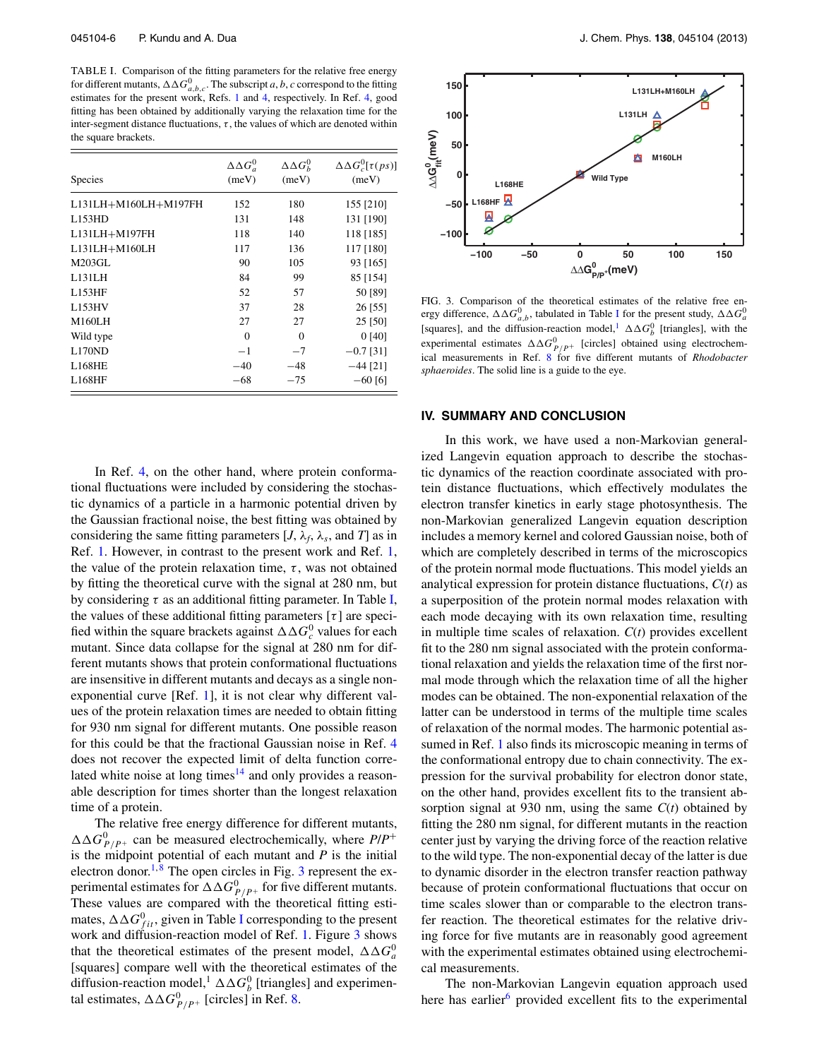TABLE I. Comparison of the fitting parameters for the relative free energy for different mutants,  $\Delta \Delta G_{a,b,c}^0$ . The subscript *a*, *b*, *c* correspond to the fitting estimates for the present work, Refs. 1 and 4, respectively. In Ref. 4, good fitting has been obtained by additionally varying the relaxation time for the inter-segment distance fluctuations,  $\tau$ , the values of which are denoted within the square brackets.

| <b>Species</b>       | $\Delta \Delta G_a^0$<br>(meV) | $\Delta \Delta G_h^0$<br>(meV) | $\Delta \Delta G_c^0[\tau(ps)]$<br>(meV) |
|----------------------|--------------------------------|--------------------------------|------------------------------------------|
| L131LH+M160LH+M197FH | 152                            | 180                            | 155 [210]                                |
| L153HD               | 131                            | 148                            | 131 [190]                                |
| L131LH+M197FH        | 118                            | 140                            | 118 [185]                                |
| L131LH+M160LH        | 117                            | 136                            | 117 [180]                                |
| M203GL               | 90                             | 105                            | 93 [165]                                 |
| L131LH               | 84                             | 99                             | 85 [154]                                 |
| L153HF               | 52                             | 57                             | 50 [89]                                  |
| L153HV               | 37                             | 28                             | 26 [55]                                  |
| M160LH               | 27                             | 27                             | 25 [50]                                  |
| Wild type            | $\Omega$                       | $\Omega$                       | 0[40]                                    |
| L170ND               | $-1$                           | $-7$                           | $-0.7$ [31]                              |
| <b>L168HE</b>        | $-40$                          | $-48$                          | $-44$ [21]                               |
| L168HF               | $-68$                          | $-75$                          | $-60$ [6]                                |

In Ref. 4, on the other hand, where protein conformational fluctuations were included by considering the stochastic dynamics of a particle in a harmonic potential driven by the Gaussian fractional noise, the best fitting was obtained by considering the same fitting parameters [*J*,  $\lambda_f$ ,  $\lambda_s$ , and *T*] as in Ref. 1. However, in contrast to the present work and Ref. 1, the value of the protein relaxation time,  $\tau$ , was not obtained by fitting the theoretical curve with the signal at 280 nm, but by considering  $\tau$  as an additional fitting parameter. In Table I, the values of these additional fitting parameters  $[\tau]$  are specified within the square brackets against  $\Delta \Delta G_c^0$  values for each mutant. Since data collapse for the signal at 280 nm for different mutants shows that protein conformational fluctuations are insensitive in different mutants and decays as a single nonexponential curve [Ref. 1], it is not clear why different values of the protein relaxation times are needed to obtain fitting for 930 nm signal for different mutants. One possible reason for this could be that the fractional Gaussian noise in Ref. 4 does not recover the expected limit of delta function correlated white noise at long times $14$  and only provides a reasonable description for times shorter than the longest relaxation time of a protein.

The relative free energy difference for different mutants,  $\Delta \Delta G_{P/P^+}^0$  can be measured electrochemically, where  $P/P^+$ is the midpoint potential of each mutant and  $P$  is the initial electron donor.<sup>1,8</sup> The open circles in Fig. 3 represent the experimental estimates for  $\Delta \Delta G_{P/P^+}^0$  for five different mutants. These values are compared with the theoretical fitting estimates,  $\Delta\Delta G_{fit}^0$ , given in Table I corresponding to the present work and diffusion-reaction model of Ref. 1. Figure 3 shows that the theoretical estimates of the present model,  $\Delta \Delta G_a^0$ [squares] compare well with the theoretical estimates of the diffusion-reaction model,  $\Delta \Delta G_b^0$  [triangles] and experimental estimates,  $\Delta \Delta G_{P/P^+}^0$  [circles] in Ref. 8.



FIG. 3. Comparison of the theoretical estimates of the relative free energy difference,  $\Delta \Delta G_{a,b}^0$ , tabulated in Table I for the present study,  $\Delta \Delta G_a^0$ [squares], and the diffusion-reaction model,  $\Delta \Delta G_b^0$  [triangles], with the experimental estimates  $\Delta \Delta G_{P/P^+}^0$  [circles] obtained using electrochemical measurements in Ref. 8 for five different mutants of *Rhodobacter sphaeroides*. The solid line is a guide to the eye.

#### **IV. SUMMARY AND CONCLUSION**

In this work, we have used a non-Markovian generalized Langevin equation approach to describe the stochastic dynamics of the reaction coordinate associated with protein distance fluctuations, which effectively modulates the electron transfer kinetics in early stage photosynthesis. The non-Markovian generalized Langevin equation description includes a memory kernel and colored Gaussian noise, both of which are completely described in terms of the microscopics of the protein normal mode fluctuations. This model yields an analytical expression for protein distance fluctuations, *C*(*t*) as a superposition of the protein normal modes relaxation with each mode decaying with its own relaxation time, resulting in multiple time scales of relaxation. *C*(*t*) provides excellent fit to the 280 nm signal associated with the protein conformational relaxation and yields the relaxation time of the first normal mode through which the relaxation time of all the higher modes can be obtained. The non-exponential relaxation of the latter can be understood in terms of the multiple time scales of relaxation of the normal modes. The harmonic potential assumed in Ref. 1 also finds its microscopic meaning in terms of the conformational entropy due to chain connectivity. The expression for the survival probability for electron donor state, on the other hand, provides excellent fits to the transient absorption signal at 930 nm, using the same *C*(*t*) obtained by fitting the 280 nm signal, for different mutants in the reaction center just by varying the driving force of the reaction relative to the wild type. The non-exponential decay of the latter is due to dynamic disorder in the electron transfer reaction pathway because of protein conformational fluctuations that occur on time scales slower than or comparable to the electron transfer reaction. The theoretical estimates for the relative driving force for five mutants are in reasonably good agreement with the experimental estimates obtained using electrochemical measurements.

The non-Markovian Langevin equation approach used here has earlier $<sup>6</sup>$  provided excellent fits to the experimental</sup>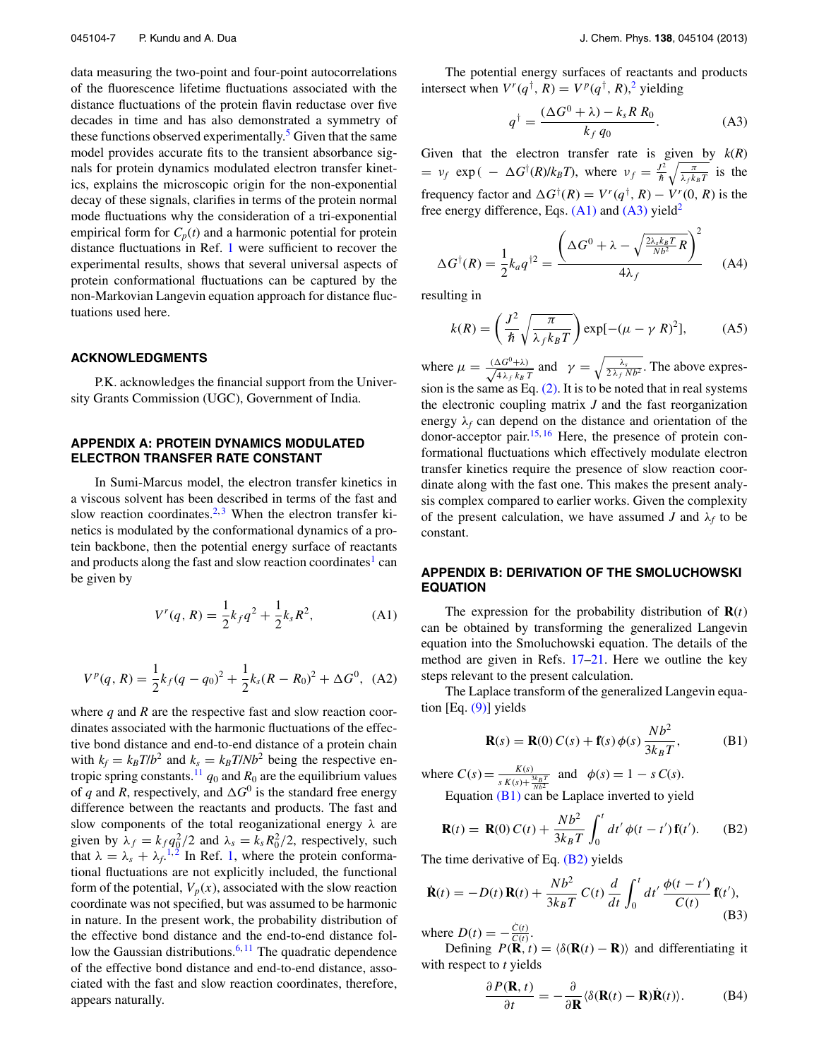data measuring the two-point and four-point autocorrelations of the fluorescence lifetime fluctuations associated with the distance fluctuations of the protein flavin reductase over five decades in time and has also demonstrated a symmetry of these functions observed experimentally.<sup>5</sup> Given that the same model provides accurate fits to the transient absorbance signals for protein dynamics modulated electron transfer kinetics, explains the microscopic origin for the non-exponential decay of these signals, clarifies in terms of the protein normal mode fluctuations why the consideration of a tri-exponential empirical form for  $C_p(t)$  and a harmonic potential for protein distance fluctuations in Ref. 1 were sufficient to recover the experimental results, shows that several universal aspects of protein conformational fluctuations can be captured by the non-Markovian Langevin equation approach for distance fluctuations used here.

#### **ACKNOWLEDGMENTS**

P.K. acknowledges the financial support from the University Grants Commission (UGC), Government of India.

## **APPENDIX A: PROTEIN DYNAMICS MODULATED ELECTRON TRANSFER RATE CONSTANT**

In Sumi-Marcus model, the electron transfer kinetics in a viscous solvent has been described in terms of the fast and slow reaction coordinates.<sup>2, 3</sup> When the electron transfer kinetics is modulated by the conformational dynamics of a protein backbone, then the potential energy surface of reactants and products along the fast and slow reaction coordinates<sup>1</sup> can be given by

$$
V^{r}(q, R) = \frac{1}{2}k_f q^2 + \frac{1}{2}k_s R^2,
$$
 (A1)

$$
V^{p}(q, R) = \frac{1}{2}k_f(q - q_0)^2 + \frac{1}{2}k_s(R - R_0)^2 + \Delta G^0, \text{ (A2)}
$$

where  $q$  and  $R$  are the respective fast and slow reaction coordinates associated with the harmonic fluctuations of the effective bond distance and end-to-end distance of a protein chain with  $k_f = k_B T/b^2$  and  $k_s = k_B T/Nb^2$  being the respective entropic spring constants.<sup>11</sup>  $q_0$  and  $R_0$  are the equilibrium values of *q* and *R*, respectively, and  $\Delta G^0$  is the standard free energy difference between the reactants and products. The fast and slow components of the total reoganizational energy  $\lambda$  are given by  $\lambda_f = k_f q_0^2/2$  and  $\lambda_s = k_s R_0^2/2$ , respectively, such that  $\lambda = \lambda_s + \lambda_f$ <sup>1,2</sup> In Ref. 1, where the protein conformational fluctuations are not explicitly included, the functional form of the potential,  $V_p(x)$ , associated with the slow reaction coordinate was not specified, but was assumed to be harmonic in nature. In the present work, the probability distribution of the effective bond distance and the end-to-end distance follow the Gaussian distributions.<sup>6, 11</sup> The quadratic dependence of the effective bond distance and end-to-end distance, associated with the fast and slow reaction coordinates, therefore, appears naturally.

The potential energy surfaces of reactants and products intersect when  $V^r(q^{\dagger}, R) = V^p(q^{\dagger}, R)$ ,<sup>2</sup> yielding

$$
q^{\dagger} = \frac{(\Delta G^0 + \lambda) - k_s R R_0}{k_f q_0}.
$$
 (A3)

Given that the electron transfer rate is given by  $k(R)$  $= v_f \exp(-\Delta G^{\dagger}(R)/k_B T)$ , where  $v_f = \frac{J^2}{\hbar} \sqrt{\frac{\pi}{\lambda_f k_B T}}$  is the frequency factor and  $\Delta G^{\dagger}(R) = V^{r}(q^{\dagger}, R) - V^{r}(0, R)$  is the free energy difference, Eqs.  $(A1)$  and  $(A3)$  yield<sup>2</sup>

$$
\Delta G^{\dagger}(R) = \frac{1}{2} k_a q^{\dagger 2} = \frac{\left(\Delta G^0 + \lambda - \sqrt{\frac{2\lambda_s k_B T}{N D^2} R}\right)^2}{4\lambda_f}
$$
 (A4)

resulting in

$$
k(R) = \left(\frac{J^2}{\hbar} \sqrt{\frac{\pi}{\lambda_f k_B T}}\right) \exp[-(\mu - \gamma R)^2],\tag{A5}
$$

where  $\mu = \frac{(\Delta G^0 + \lambda)}{\sqrt{4 \lambda + k_B}}$  $rac{\Delta G^0 + \lambda}{4 \lambda_f k_B T}$  and  $\gamma = \sqrt{\frac{\lambda_s}{2 \lambda_f N b^2}}$ . The above expression is the same as Eq.  $(2)$ . It is to be noted that in real systems the electronic coupling matrix *J* and the fast reorganization energy  $\lambda_f$  can depend on the distance and orientation of the donor-acceptor pair.15, <sup>16</sup> Here, the presence of protein conformational fluctuations which effectively modulate electron transfer kinetics require the presence of slow reaction coordinate along with the fast one. This makes the present analysis complex compared to earlier works. Given the complexity of the present calculation, we have assumed *J* and  $\lambda_f$  to be constant.

## **APPENDIX B: DERIVATION OF THE SMOLUCHOWSKI EQUATION**

The expression for the probability distribution of  $\mathbf{R}(t)$ can be obtained by transforming the generalized Langevin equation into the Smoluchowski equation. The details of the method are given in Refs.  $17-21$ . Here we outline the key steps relevant to the present calculation.

The Laplace transform of the generalized Langevin equation [Eq. (9)] yields

$$
\mathbf{R}(s) = \mathbf{R}(0) C(s) + \mathbf{f}(s) \phi(s) \frac{Nb^2}{3k_B T}, \quad (B1)
$$

where  $C(s) = \frac{K(s)}{K(s+1)}$  $\frac{K(s)}{s K(s) + \frac{3k_BT}{Nb^2}}$  and  $\phi(s) = 1 - s C(s)$ . Equation  $(B1)$  can be Laplace inverted to yield

$$
\mathbf{R}(t) = \mathbf{R}(0) C(t) + \frac{Nb^2}{3k_B T} \int_0^t dt' \phi(t - t') \mathbf{f}(t').
$$
 (B2)

The time derivative of Eq. (B2) yields

$$
\dot{\mathbf{R}}(t) = -D(t)\mathbf{R}(t) + \frac{Nb^2}{3k_BT}C(t)\frac{d}{dt}\int_0^t dt'\frac{\phi(t-t')}{C(t)}\mathbf{f}(t'),
$$
\n(B3)

where  $D(t) = -\frac{\dot{C}(t)}{C(t)}$ .

Defining  $P(\mathbf{R},t) = \langle \delta(\mathbf{R}(t) - \mathbf{R}) \rangle$  and differentiating it with respect to *t* yields

$$
\frac{\partial P(\mathbf{R},t)}{\partial t} = -\frac{\partial}{\partial \mathbf{R}} \langle \delta(\mathbf{R}(t) - \mathbf{R}) \dot{\mathbf{R}}(t) \rangle.
$$
 (B4)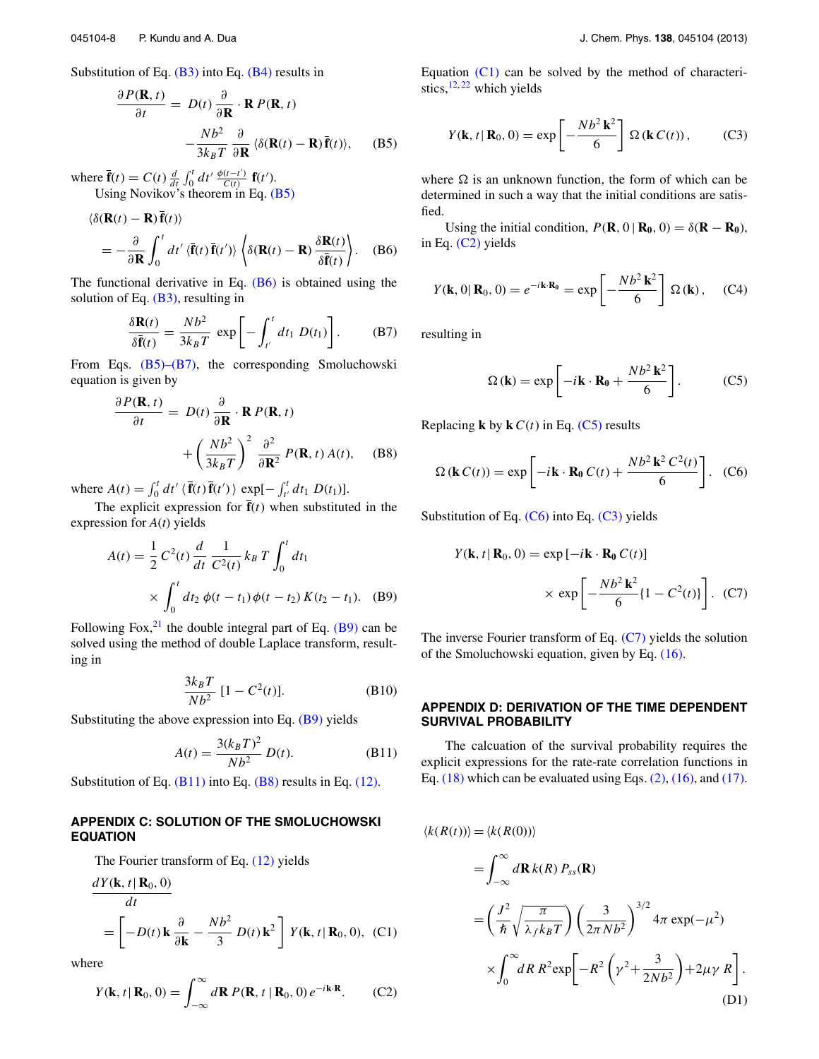$$
\frac{\partial P(\mathbf{R}, t)}{\partial t} = D(t) \frac{\partial}{\partial \mathbf{R}} \cdot \mathbf{R} P(\mathbf{R}, t)
$$

$$
- \frac{Nb^2}{3k_B T} \frac{\partial}{\partial \mathbf{R}} \langle \delta(\mathbf{R}(t) - \mathbf{R}) \overline{\mathbf{f}}(t) \rangle, \quad (B5)
$$

where  $\overline{\mathbf{f}}(t) = C(t) \frac{d}{dt} \int_0^t dt' \frac{\phi(t-t')}{C(t)}$  $\frac{(t-t')}{C(t)}$  **f**(t'). Using Novikov's theorem in Eq. (B5)

$$
\langle \delta(\mathbf{R}(t) - \mathbf{R}) \mathbf{f}(t) \rangle
$$
  
=  $-\frac{\partial}{\partial \mathbf{R}} \int_0^t dt' \langle \mathbf{\bar{f}}(t) \mathbf{\bar{f}}(t') \rangle \langle \delta(\mathbf{R}(t) - \mathbf{R}) \frac{\delta \mathbf{R}(t)}{\delta \mathbf{\bar{f}}(t)} \rangle.$  (B6)

The functional derivative in Eq. (B6) is obtained using the solution of Eq.  $(B3)$ , resulting in

$$
\frac{\delta \mathbf{R}(t)}{\delta \bar{\mathbf{f}}(t)} = \frac{Nb^2}{3k_B T} \exp\left[-\int_{t'}^{t} dt_1 D(t_1)\right].
$$
 (B7)

From Eqs.  $(B5)$ – $(B7)$ , the corresponding Smoluchowski equation is given by

$$
\frac{\partial P(\mathbf{R}, t)}{\partial t} = D(t) \frac{\partial}{\partial \mathbf{R}} \cdot \mathbf{R} P(\mathbf{R}, t) + \left(\frac{Nb^2}{3k_B T}\right)^2 \frac{\partial^2}{\partial \mathbf{R}^2} P(\mathbf{R}, t) A(t), \quad (B8)
$$

where  $A(t) = \int_0^t dt' \langle \mathbf{\bar{f}}(t) \mathbf{\bar{f}}(t') \rangle \exp[-\int_{t'}^t dt_1 D(t_1)].$ 

The explicit expression for  $\mathbf{\bar{f}}(t)$  when substituted in the expression for *A*(*t*) yields

$$
A(t) = \frac{1}{2} C^2(t) \frac{d}{dt} \frac{1}{C^2(t)} k_B T \int_0^t dt_1
$$
  
 
$$
\times \int_0^t dt_2 \phi(t - t_1) \phi(t - t_2) K(t_2 - t_1). \quad (B9)
$$

Following Fox, $21$  the double integral part of Eq. (B9) can be solved using the method of double Laplace transform, resulting in

$$
\frac{3k_B T}{Nb^2} [1 - C^2(t)].
$$
 (B10)

Substituting the above expression into Eq. (B9) yields

$$
A(t) = \frac{3(k_B T)^2}{Nb^2} D(t).
$$
 (B11)

Substitution of Eq.  $(B11)$  into Eq.  $(B8)$  results in Eq.  $(12)$ .

# **APPENDIX C: SOLUTION OF THE SMOLUCHOWSKI EQUATION**

The Fourier transform of Eq. (12) yields

$$
\frac{dY(\mathbf{k}, t | \mathbf{R}_0, 0)}{dt}
$$
\n
$$
= \left[ -D(t) \mathbf{k} \frac{\partial}{\partial \mathbf{k}} - \frac{Nb^2}{3} D(t) \mathbf{k}^2 \right] Y(\mathbf{k}, t | \mathbf{R}_0, 0), \quad (C1)
$$

where

$$
Y(\mathbf{k}, t | \mathbf{R}_0, 0) = \int_{-\infty}^{\infty} d\mathbf{R} P(\mathbf{R}, t | \mathbf{R}_0, 0) e^{-i\mathbf{k} \cdot \mathbf{R}}.
$$
 (C2)

Equation (C1) can be solved by the method of characteristics, $12, 22$  which yields

$$
Y(\mathbf{k}, t | \mathbf{R}_0, 0) = \exp\left[-\frac{Nb^2 \mathbf{k}^2}{6}\right] \Omega(\mathbf{k} C(t)), \quad (C3)
$$

where  $\Omega$  is an unknown function, the form of which can be determined in such a way that the initial conditions are satisfied.

Using the initial condition,  $P(\mathbf{R}, 0 | \mathbf{R}_0, 0) = \delta(\mathbf{R} - \mathbf{R}_0)$ , in Eq. (C2) yields

$$
Y(\mathbf{k},0|\mathbf{R}_0,0)=e^{-i\mathbf{k}\cdot\mathbf{R}_0}=\exp\left[-\frac{Nb^2\,\mathbf{k}^2}{6}\right]\,\Omega\left(\mathbf{k}\right),\quad\text{(C4)}
$$

resulting in

$$
\Omega(\mathbf{k}) = \exp\left[-i\mathbf{k}\cdot\mathbf{R_0} + \frac{Nb^2\,\mathbf{k}^2}{6}\right].\tag{C5}
$$

Replacing **k** by **k**  $C(t)$  in Eq. (C5) results

$$
\Omega(\mathbf{k} C(t)) = \exp\left[-i\mathbf{k} \cdot \mathbf{R}_0 C(t) + \frac{Nb^2 \mathbf{k}^2 C^2(t)}{6}\right].
$$
 (C6)

Substitution of Eq.  $(C6)$  into Eq.  $(C3)$  yields

$$
Y(\mathbf{k}, t | \mathbf{R}_0, 0) = \exp[-i\mathbf{k} \cdot \mathbf{R}_0 C(t)]
$$

$$
\times \exp\left[-\frac{Nb^2 \mathbf{k}^2}{6} \{1 - C^2(t)\}\right]. \quad (C7)
$$

The inverse Fourier transform of Eq.  $(C7)$  yields the solution of the Smoluchowski equation, given by Eq. (16).

## **APPENDIX D: DERIVATION OF THE TIME DEPENDENT SURVIVAL PROBABILITY**

The calcuation of the survival probability requires the explicit expressions for the rate-rate correlation functions in Eq.  $(18)$  which can be evaluated using Eqs.  $(2)$ ,  $(16)$ , and  $(17)$ .

$$
\langle k(R(t)) \rangle = \langle k(R(0)) \rangle
$$
  
\n
$$
= \int_{-\infty}^{\infty} d\mathbf{R} k(R) P_{ss}(\mathbf{R})
$$
  
\n
$$
= \left(\frac{J^2}{\hbar} \sqrt{\frac{\pi}{\lambda_f k_B T}}\right) \left(\frac{3}{2\pi N b^2}\right)^{3/2} 4\pi \exp(-\mu^2)
$$
  
\n
$$
\times \int_{0}^{\infty} dR R^2 \exp\left[-R^2 \left(\gamma^2 + \frac{3}{2N b^2}\right) + 2\mu \gamma R\right].
$$
  
\n(D1)